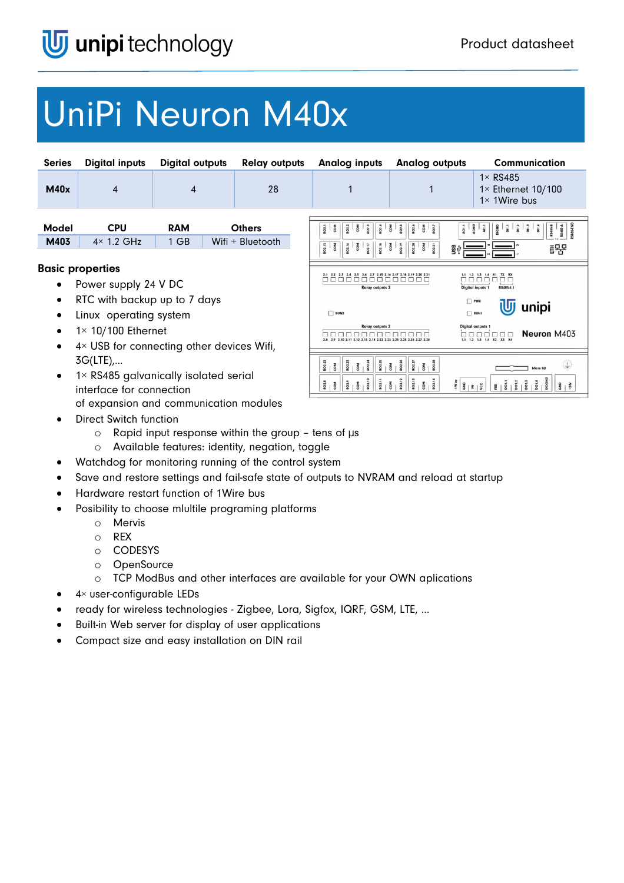# UniPi Neuron M40x

| <b>Series</b>                                                                        | <b>Digital inputs</b>                                                          | <b>Digital outputs</b> |                                                                                                                    | <b>Relay outputs</b> | <b>Analog inputs</b>                                                                                                                                                                            | <b>Analog outputs</b>                               | <b>Communication</b>                                                              |
|--------------------------------------------------------------------------------------|--------------------------------------------------------------------------------|------------------------|--------------------------------------------------------------------------------------------------------------------|----------------------|-------------------------------------------------------------------------------------------------------------------------------------------------------------------------------------------------|-----------------------------------------------------|-----------------------------------------------------------------------------------|
| M40x                                                                                 | 4                                                                              | 4                      |                                                                                                                    | 28                   |                                                                                                                                                                                                 |                                                     | $1 \times$ RS485<br>$1 \times$ Ethernet 10/100<br>$1 \times 1$ Wire bus           |
| <b>Model</b>                                                                         | <b>CPU</b>                                                                     | <b>RAM</b>             |                                                                                                                    | <b>Others</b>        | RO2.1<br>$rac{2}{\cos \theta}$<br>802.3<br>802.4<br>com                                                                                                                                         | RO2.6<br>com<br>RO2.5<br>$rac{1}{2}$<br>$rac{1}{2}$ | $rac{1}{\text{A}}$<br><b>RS485-B</b><br>$\frac{3}{5}$                             |
| M403                                                                                 | $4 \times 1.2$ GHz                                                             | 1 GB                   |                                                                                                                    | Wifi + Bluetooth     | RO2.15<br>$rac{8}{2}$<br>$\frac{1}{2}$                                                                                                                                                          | gψ                                                  | 공물                                                                                |
| <b>Basic properties</b><br>Power supply 24 V DC                                      |                                                                                |                        | 2.1 2.2 2.3 2.4 2.5 2.6 2.7 2.15 2.16 2.17 2.18 2.19 2.20 2.21<br><u> 88888888888888</u><br><b>Relay outputs 2</b> |                      | 1.1 1.2 1.3 1.4 X1 TX RX<br>ПO<br>RS485-1.1<br><b>Digital inputs 1</b>                                                                                                                          |                                                     |                                                                                   |
| RTC with backup up to 7 days<br>$\bullet$<br>Linux operating system                  |                                                                                |                        |                                                                                                                    |                      | $\n  RUN2\n$                                                                                                                                                                                    |                                                     | PWR<br>unipi<br>$\n  RUN1\n$                                                      |
| $1 \times 10/100$ Ethernet<br>4× USB for connecting other devices Wifi,<br>$\bullet$ |                                                                                |                        | <b>Relay outputs 2</b><br>nnnnnnnnnn<br>2.8 2.9 2.10 2.11 2.12 2.13 2.14 2.22 2.23 2.24 2.25 2.26 2.27 2.28        |                      | Digital outputs 1<br>Neuron M403<br>0000000<br>1.2 1.3 1.4 X2 X3 X4                                                                                                                             |                                                     |                                                                                   |
|                                                                                      | $3G(LTE)$<br>1× RS485 galvanically isolated serial<br>interface for connection |                        |                                                                                                                    |                      | $\begin{array}{c c c c c} \hline \mbox{z} & \mbox{z} & \mbox{z} & \mbox{z} \\ \hline \mbox{z} & \mbox{z} & \mbox{z} & \mbox{z} \\ \hline \mbox{z} & \mbox{z} & \mbox{z} & \mbox{z} \end{array}$ |                                                     | Micro SD<br>$\frac{1}{2}$ $\frac{1}{8}$ $\frac{1}{8}$ $\frac{1}{8}$ $\frac{1}{8}$ |
|                                                                                      | of expansion and communication modules                                         |                        |                                                                                                                    |                      |                                                                                                                                                                                                 |                                                     |                                                                                   |

- Direct Switch function
	- o Rapid input response within the group tens of µs
	- o Available features: identity, negation, toggle
- Watchdog for monitoring running of the control system
- Save and restore settings and fail-safe state of outputs to NVRAM and reload at startup
- Hardware restart function of 1Wire bus
- Posibility to choose mlultile programing platforms
	- o Mervis
	- o REX
	- o CODESYS
	- o OpenSource
	- o TCP ModBus and other interfaces are available for your OWN aplications
- $\bullet$  4× user-configurable LEDs
- ready for wireless technologies Zigbee, Lora, Sigfox, IQRF, GSM, LTE, …
- Built-in Web server for display of user applications
- Compact size and easy installation on DIN rail